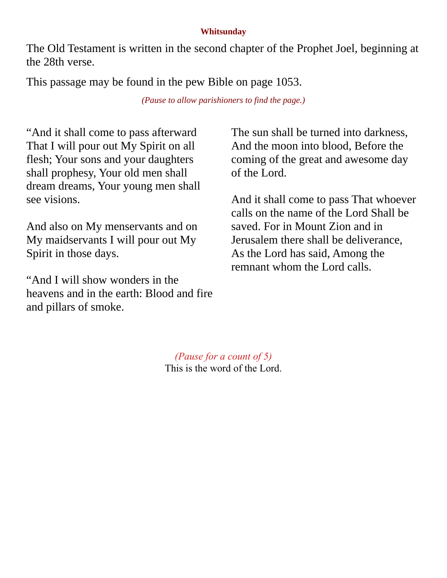## **Whitsunday**

The Old Testament is written in the second chapter of the Prophet Joel, beginning at the 28th verse.

This passage may be found in the pew Bible on page 1053.

*(Pause to allow parishioners to find the page.)*

"And it shall come to pass afterward That I will pour out My Spirit on all flesh; Your sons and your daughters shall prophesy, Your old men shall dream dreams, Your young men shall see visions.

And also on My menservants and on My maidservants I will pour out My Spirit in those days.

"And I will show wonders in the heavens and in the earth: Blood and fire and pillars of smoke.

The sun shall be turned into darkness, And the moon into blood, Before the coming of the great and awesome day of the Lord.

And it shall come to pass That whoever calls on the name of the Lord Shall be saved. For in Mount Zion and in Jerusalem there shall be deliverance, As the Lord has said, Among the remnant whom the Lord calls.

*(Pause for a count of 5)* This is the word of the Lord.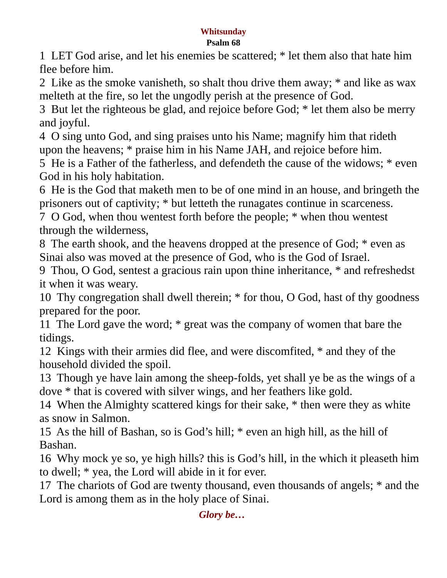## **Whitsunday**

## **Psalm 68**

1 LET God arise, and let his enemies be scattered; \* let them also that hate him flee before him.

2 Like as the smoke vanisheth, so shalt thou drive them away; \* and like as wax melteth at the fire, so let the ungodly perish at the presence of God.

3 But let the righteous be glad, and rejoice before God; \* let them also be merry and joyful.

4 O sing unto God, and sing praises unto his Name; magnify him that rideth upon the heavens; \* praise him in his Name JAH, and rejoice before him.

5 He is a Father of the fatherless, and defendeth the cause of the widows; \* even God in his holy habitation.

6 He is the God that maketh men to be of one mind in an house, and bringeth the prisoners out of captivity; \* but letteth the runagates continue in scarceness.

7 O God, when thou wentest forth before the people; \* when thou wentest through the wilderness,

8 The earth shook, and the heavens dropped at the presence of God; \* even as Sinai also was moved at the presence of God, who is the God of Israel.

9 Thou, O God, sentest a gracious rain upon thine inheritance, \* and refreshedst it when it was weary.

10 Thy congregation shall dwell therein; \* for thou, O God, hast of thy goodness prepared for the poor.

11 The Lord gave the word; \* great was the company of women that bare the tidings.

12 Kings with their armies did flee, and were discomfited, \* and they of the household divided the spoil.

13 Though ye have lain among the sheep-folds, yet shall ye be as the wings of a dove \* that is covered with silver wings, and her feathers like gold.

14 When the Almighty scattered kings for their sake, \* then were they as white as snow in Salmon.

15 As the hill of Bashan, so is God's hill; \* even an high hill, as the hill of Bashan.

16 Why mock ye so, ye high hills? this is God's hill, in the which it pleaseth him to dwell; \* yea, the Lord will abide in it for ever.

17 The chariots of God are twenty thousand, even thousands of angels; \* and the Lord is among them as in the holy place of Sinai.

*Glory be…*